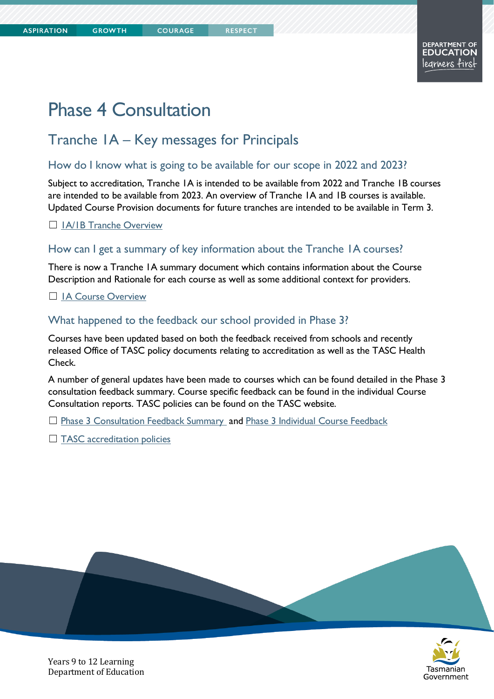# Phase 4 Consultation

# Tranche 1A – Key messages for Principals

**COURAGE** 

### How do I know what is going to be available for our scope in 2022 and 2023?

Subject to accreditation, Tranche 1A is intended to be available from 2022 and Tranche 1B courses are intended to be available from 2023. An overview of Tranche 1A and 1B courses is available. Updated Course Provision documents for future tranches are intended to be available in Term 3.

□ 1A/1B Tranche Overview

#### How can I get a summary of key information about the Tranche 1A courses?

There is now a Tranche 1A summary document which contains information about the Course Description and Rationale for each course as well as some additional context for providers.

□ IA Course Overview

#### What happened to the feedback our school provided in Phase 3?

Courses have been updated based on both the feedback received from schools and recently released Office of TASC policy documents relating to accreditation as well as the TASC Health Check.

A number of general updates have been made to courses which can be found detailed in the Phase 3 consultation feedback summary. Course specific feedback can be found in the individual Course Consultation reports. TASC policies can be found on the TASC website.

□ [Phase 3 Consultation Feedback Summary](https://documentcentre.education.tas.gov.au/_layouts/15/DocIdRedir.aspx?ID=TASED-1409172972-1597) and [Phase 3 Individual Course Feedback](https://11and12.education.tas.gov.au/course-development/tranche-1/tranche-1-phase-3-consultation-initial-draft-of-the-course/)

□ [TASC accreditation policies](https://www.tasc.tas.gov.au/about/policies/)